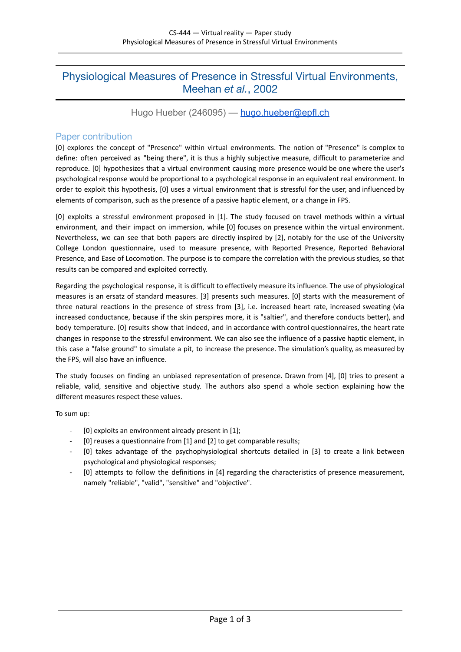# Physiological Measures of Presence in Stressful Virtual Environments, Meehan *et al.*, 2002

Hugo Hueber (246095) — [hugo.hueber@epfl.ch](mailto:hugo.hueber@epfl.ch)

# Paper contribution

[0] explores the concept of "Presence" within virtual environments. The notion of "Presence" is complex to define: often perceived as "being there", it is thus a highly subjective measure, difficult to parameterize and reproduce. [0] hypothesizes that a virtual environment causing more presence would be one where the user's psychological response would be proportional to a psychological response in an equivalent real environment. In order to exploit this hypothesis, [0] uses a virtual environment that is stressful for the user, and influenced by elements of comparison, such as the presence of a passive haptic element, or a change in FPS.

[0] exploits a stressful environment proposed in [1]. The study focused on travel methods within a virtual environment, and their impact on immersion, while [0] focuses on presence within the virtual environment. Nevertheless, we can see that both papers are directly inspired by [2], notably for the use of the University College London questionnaire, used to measure presence, with Reported Presence, Reported Behavioral Presence, and Ease of Locomotion. The purpose is to compare the correlation with the previous studies, so that results can be compared and exploited correctly.

Regarding the psychological response, it is difficult to effectively measure its influence. The use of physiological measures is an ersatz of standard measures. [3] presents such measures. [0] starts with the measurement of three natural reactions in the presence of stress from [3], i.e. increased heart rate, increased sweating (via increased conductance, because if the skin perspires more, it is "saltier", and therefore conducts better), and body temperature. [0] results show that indeed, and in accordance with control questionnaires, the heart rate changes in response to the stressful environment. We can also see the influence of a passive haptic element, in this case a "false ground" to simulate a pit, to increase the presence. The simulation's quality, as measured by the FPS, will also have an influence.

The study focuses on finding an unbiased representation of presence. Drawn from [4], [0] tries to present a reliable, valid, sensitive and objective study. The authors also spend a whole section explaining how the different measures respect these values.

To sum up:

- [0] exploits an environment already present in [1];
- [0] reuses a questionnaire from [1] and [2] to get comparable results;
- [0] takes advantage of the psychophysiological shortcuts detailed in [3] to create a link between psychological and physiological responses;
- [0] attempts to follow the definitions in [4] regarding the characteristics of presence measurement, namely "reliable", "valid", "sensitive" and "objective".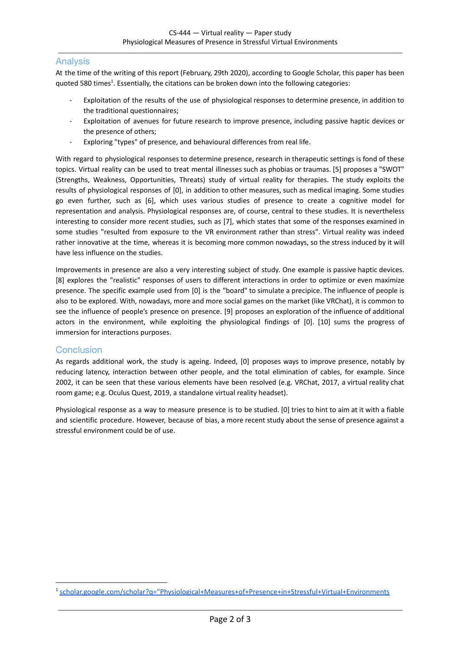## Analysis

At the time of the writing of this report (February, 29th 2020), according to Google Scholar, this paper has been quoted 580 times<sup>1</sup>. Essentially, the citations can be broken down into the following categories:

- Exploitation of the results of the use of physiological responses to determine presence, in addition to the traditional questionnaires;
- Exploitation of avenues for future research to improve presence, including passive haptic devices or the presence of others;
- Exploring "types" of presence, and behavioural differences from real life.

With regard to physiological responses to determine presence, research in therapeutic settings is fond of these topics. Virtual reality can be used to treat mental illnesses such as phobias or traumas. [5] proposes a "SWOT" (Strengths, Weakness, Opportunities, Threats) study of virtual reality for therapies. The study exploits the results of physiological responses of [0], in addition to other measures, such as medical imaging. Some studies go even further, such as [6], which uses various studies of presence to create a cognitive model for representation and analysis. Physiological responses are, of course, central to these studies. It is nevertheless interesting to consider more recent studies, such as [7], which states that some of the responses examined in some studies "resulted from exposure to the VR environment rather than stress". Virtual reality was indeed rather innovative at the time, whereas it is becoming more common nowadays, so the stress induced by it will have less influence on the studies.

Improvements in presence are also a very interesting subject of study. One example is passive haptic devices. [8] explores the "realistic" responses of users to different interactions in order to optimize or even maximize presence. The specific example used from [0] is the "board" to simulate a precipice. The influence of people is also to be explored. With, nowadays, more and more social games on the market (like VRChat), it is common to see the influence of people's presence on presence. [9] proposes an exploration of the influence of additional actors in the environment, while exploiting the physiological findings of [0]. [10] sums the progress of immersion for interactions purposes.

### **Conclusion**

As regards additional work, the study is ageing. Indeed, [0] proposes ways to improve presence, notably by reducing latency, interaction between other people, and the total elimination of cables, for example. Since 2002, it can be seen that these various elements have been resolved (e.g. VRChat, 2017, a virtual reality chat room game; e.g. Oculus Quest, 2019, a standalone virtual reality headset).

Physiological response as a way to measure presence is to be studied. [0] tries to hint to aim at it with a fiable and scientific procedure. However, because of bias, a more recent study about the sense of presence against a stressful environment could be of use.

<sup>1</sup> [scholar.google.com/scholar?q="Physiological+Measures+of+Presence+in+Stressful+Virtual+Environments](https://scholar.google.com/scholar?q=%22Physiological+Measures+of+Presence+in+Stressful+Virtual+Environments)